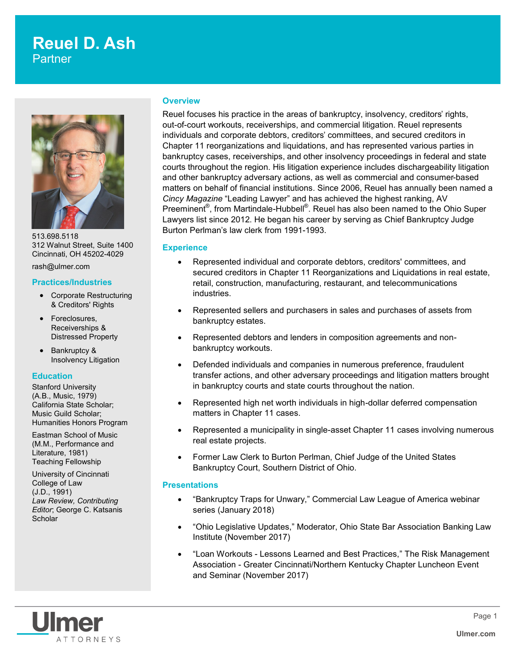# **Reuel D. Ash Partner**



513.698.5118 312 Walnut Street, Suite 1400 Cincinnati, OH 45202-4029

rash@ulmer.com

#### **Practices/Industries**

- Corporate Restructuring & Creditors' Rights
- Foreclosures, Receiverships & Distressed Property
- Bankruptcy & Insolvency Litigation

#### **Education**

Stanford University (A.B., Music, 1979) California State Scholar; Music Guild Scholar; Humanities Honors Program

Eastman School of Music (M.M., Performance and Literature, 1981) Teaching Fellowship

University of Cincinnati College of Law (J.D., 1991) *Law Review, Contributing Editor*; George C. Katsanis **Scholar** 

#### **Overview**

Reuel focuses his practice in the areas of bankruptcy, insolvency, creditors' rights, out-of-court workouts, receiverships, and commercial litigation. Reuel represents individuals and corporate debtors, creditors' committees, and secured creditors in Chapter 11 reorganizations and liquidations, and has represented various parties in bankruptcy cases, receiverships, and other insolvency proceedings in federal and state courts throughout the region. His litigation experience includes dischargeability litigation and other bankruptcy adversary actions, as well as commercial and consumer-based matters on behalf of financial institutions. Since 2006, Reuel has annually been named a *Cincy Magazine* "Leading Lawyer" and has achieved the highest ranking, AV Preeminent®, from Martindale-Hubbell®. Reuel has also been named to the Ohio Super Lawyers list since 2012. He began his career by serving as Chief Bankruptcy Judge Burton Perlman's law clerk from 1991-1993.

#### **Experience**

- Represented individual and corporate debtors, creditors' committees, and secured creditors in Chapter 11 Reorganizations and Liquidations in real estate, retail, construction, manufacturing, restaurant, and telecommunications industries.
- Represented sellers and purchasers in sales and purchases of assets from bankruptcy estates.
- Represented debtors and lenders in composition agreements and nonbankruptcy workouts.
- Defended individuals and companies in numerous preference, fraudulent transfer actions, and other adversary proceedings and litigation matters brought in bankruptcy courts and state courts throughout the nation.
- Represented high net worth individuals in high-dollar deferred compensation matters in Chapter 11 cases.
- Represented a municipality in single-asset Chapter 11 cases involving numerous real estate projects.
- Former Law Clerk to Burton Perlman, Chief Judge of the United States Bankruptcy Court, Southern District of Ohio.

#### **Presentations**

- "Bankruptcy Traps for Unwary," Commercial Law League of America webinar series (January 2018)
- "Ohio Legislative Updates," Moderator, Ohio State Bar Association Banking Law Institute (November 2017)
- "Loan Workouts Lessons Learned and Best Practices," The Risk Management Association - Greater Cincinnati/Northern Kentucky Chapter Luncheon Event and Seminar (November 2017)

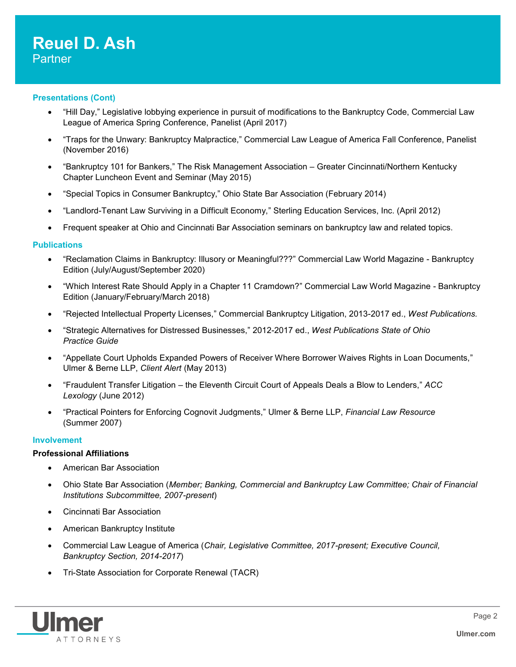#### **Presentations (Cont)**

- "Hill Day," Legislative lobbying experience in pursuit of modifications to the Bankruptcy Code, Commercial Law League of America Spring Conference, Panelist (April 2017)
- "Traps for the Unwary: Bankruptcy Malpractice," Commercial Law League of America Fall Conference, Panelist (November 2016)
- "Bankruptcy 101 for Bankers," The Risk Management Association Greater Cincinnati/Northern Kentucky Chapter Luncheon Event and Seminar (May 2015)
- "Special Topics in Consumer Bankruptcy," Ohio State Bar Association (February 2014)
- "Landlord-Tenant Law Surviving in a Difficult Economy," Sterling Education Services, Inc. (April 2012)
- Frequent speaker at Ohio and Cincinnati Bar Association seminars on bankruptcy law and related topics.

#### **Publications**

- "Reclamation Claims in Bankruptcy: Illusory or Meaningful???" Commercial Law World Magazine Bankruptcy Edition (July/August/September 2020)
- "Which Interest Rate Should Apply in a Chapter 11 Cramdown?" Commercial Law World Magazine Bankruptcy Edition (January/February/March 2018)
- "Rejected Intellectual Property Licenses," Commercial Bankruptcy Litigation, 2013-2017 ed., *West Publications.*
- "Strategic Alternatives for Distressed Businesses," 2012-2017 ed., *West Publications State of Ohio Practice Guide*
- "Appellate Court Upholds Expanded Powers of Receiver Where Borrower Waives Rights in Loan Documents," Ulmer & Berne LLP, *Client Alert* (May 2013)
- "Fraudulent Transfer Litigation the Eleventh Circuit Court of Appeals Deals a Blow to Lenders," *ACC Lexology* (June 2012)
- "Practical Pointers for Enforcing Cognovit Judgments," Ulmer & Berne LLP, *Financial Law Resource* (Summer 2007)

#### **Involvement**

#### **Professional Affiliations**

- American Bar Association
- Ohio State Bar Association (*Member; Banking, Commercial and Bankruptcy Law Committee; Chair of Financial Institutions Subcommittee, 2007-present*)
- Cincinnati Bar Association
- American Bankruptcy Institute
- Commercial Law League of America (*Chair, Legislative Committee, 2017-present; Executive Council, Bankruptcy Section, 2014-2017*)
- Tri-State Association for Corporate Renewal (TACR)